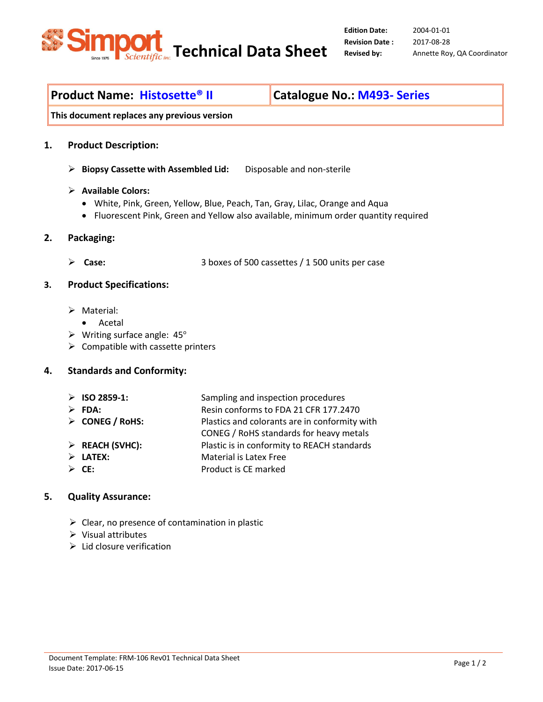

2004-01-01 2017-08-28 Revised by: Annette Roy, QA Coordinator

# Product Name: Histosette<sup>®</sup> II Catalogue No.: M493- Series

This document replaces any previous version

#### 1. Product Description:

- $\triangleright$  Biopsy Cassette with Assembled Lid: Disposable and non-sterile
- $\triangleright$  Available Colors:
	- White, Pink, Green, Yellow, Blue, Peach, Tan, Gray, Lilac, Orange and Aqua
	- Fluorescent Pink, Green and Yellow also available, minimum order quantity required

#### 2. Packaging:

Case: 3 boxes of 500 cassettes / 1 500 units per case

### 3. Product Specifications:

- $\triangleright$  Material:
	- Acetal
- $\triangleright$  Writing surface angle: 45°
- $\triangleright$  Compatible with cassette printers

# 4. Standards and Conformity:

- > ISO 2859-1: Sampling and inspection procedures ▶ <b>FDA:</b> <b>RESH</b> <b>Resin</b> <b>conforms</b> <b>top</b> <b>CER</b> <b>177.2470</b>
- CONEG / RoHS: Plastics and colorants are in conformity with
- 

CONEG / RoHS standards for heavy metals ▶ REACH (SVHC): Plastic is in conformity to REACH standards LATEX: Material is Latex Free

 $\triangleright$  **CE:** Product is CE marked

## 5. Quality Assurance:

- $\triangleright$  Clear, no presence of contamination in plastic
- $\triangleright$  Visual attributes
- $\triangleright$  Lid closure verification